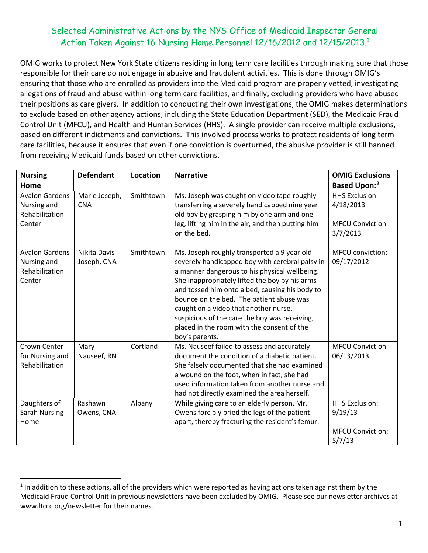## Selected Administrative Actions by the NYS Office of Medicaid Inspector General Action Taken Against 16 Nursing Home Personnel 12/16/2012 and 12/15/2013. 1

OMIG works to protect New York State citizens residing in long term care facilities through making sure that those responsible for their care do not engage in abusive and fraudulent activities. This is done through OMIG's ensuring that those who are enrolled as providers into the Medicaid program are properly vetted, investigating allegations of fraud and abuse within long term care facilities, and finally, excluding providers who have abused their positions as care givers. In addition to conducting their own investigations, the OMIG makes determinations to exclude based on other agency actions, including the State Education Department (SED), the Medicaid Fraud Control Unit (MFCU), and Health and Human Services (HHS). A single provider can receive multiple exclusions, based on different indictments and convictions. This involved process works to protect residents of long term care facilities, because it ensures that even if one conviction is overturned, the abusive provider is still banned from receiving Medicaid funds based on other convictions.

| <b>Nursing</b><br>Home                                           | <b>Defendant</b>            | Location  | <b>Narrative</b>                                                                                                                                                                                                                                                                                                                                                                                                                                          | <b>OMIG Exclusions</b><br><b>Based Upon:2</b>                           |
|------------------------------------------------------------------|-----------------------------|-----------|-----------------------------------------------------------------------------------------------------------------------------------------------------------------------------------------------------------------------------------------------------------------------------------------------------------------------------------------------------------------------------------------------------------------------------------------------------------|-------------------------------------------------------------------------|
| <b>Avalon Gardens</b><br>Nursing and<br>Rehabilitation<br>Center | Marie Joseph,<br><b>CNA</b> | Smithtown | Ms. Joseph was caught on video tape roughly<br>transferring a severely handicapped nine year<br>old boy by grasping him by one arm and one<br>leg, lifting him in the air, and then putting him<br>on the bed.                                                                                                                                                                                                                                            | <b>HHS Exclusion</b><br>4/18/2013<br><b>MFCU Conviction</b><br>3/7/2013 |
| <b>Avalon Gardens</b><br>Nursing and<br>Rehabilitation<br>Center | Nikita Davis<br>Joseph, CNA | Smithtown | Ms. Joseph roughly transported a 9 year old<br>severely handicapped boy with cerebral palsy in<br>a manner dangerous to his physical wellbeing.<br>She inappropriately lifted the boy by his arms<br>and tossed him onto a bed, causing his body to<br>bounce on the bed. The patient abuse was<br>caught on a video that another nurse,<br>suspicious of the care the boy was receiving,<br>placed in the room with the consent of the<br>boy's parents. | <b>MFCU</b> conviction:<br>09/17/2012                                   |
| Crown Center<br>for Nursing and<br>Rehabilitation                | Mary<br>Nauseef, RN         | Cortland  | Ms. Nauseef failed to assess and accurately<br>document the condition of a diabetic patient.<br>She falsely documented that she had examined<br>a wound on the foot, when in fact, she had<br>used information taken from another nurse and<br>had not directly examined the area herself.                                                                                                                                                                | <b>MFCU Conviction</b><br>06/13/2013                                    |
| Daughters of<br><b>Sarah Nursing</b><br>Home                     | Rashawn<br>Owens, CNA       | Albany    | While giving care to an elderly person, Mr.<br>Owens forcibly pried the legs of the patient<br>apart, thereby fracturing the resident's femur.                                                                                                                                                                                                                                                                                                            | <b>HHS Exclusion:</b><br>9/19/13<br><b>MFCU Conviction:</b><br>5/7/13   |

 $\overline{a}$ 

 $1$  In addition to these actions, all of the providers which were reported as having actions taken against them by the Medicaid Fraud Control Unit in previous newsletters have been excluded by OMIG. Please see our newsletter archives at www.ltccc.org/newsletter for their names.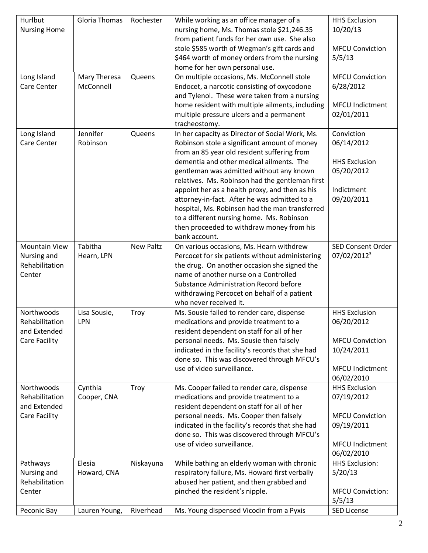| Hurlbut              | <b>Gloria Thomas</b> | Rochester        | While working as an office manager of a          | <b>HHS Exclusion</b>     |
|----------------------|----------------------|------------------|--------------------------------------------------|--------------------------|
| <b>Nursing Home</b>  |                      |                  | nursing home, Ms. Thomas stole \$21,246.35       | 10/20/13                 |
|                      |                      |                  | from patient funds for her own use. She also     |                          |
|                      |                      |                  | stole \$585 worth of Wegman's gift cards and     | <b>MFCU Conviction</b>   |
|                      |                      |                  | \$464 worth of money orders from the nursing     | 5/5/13                   |
|                      |                      |                  | home for her own personal use.                   |                          |
| Long Island          | Mary Theresa         | Queens           | On multiple occasions, Ms. McConnell stole       | <b>MFCU Conviction</b>   |
| Care Center          | McConnell            |                  | Endocet, a narcotic consisting of oxycodone      | 6/28/2012                |
|                      |                      |                  | and Tylenol. These were taken from a nursing     |                          |
|                      |                      |                  | home resident with multiple ailments, including  | <b>MFCU Indictment</b>   |
|                      |                      |                  | multiple pressure ulcers and a permanent         | 02/01/2011               |
|                      |                      |                  |                                                  |                          |
|                      | Jennifer             |                  | tracheostomy.                                    |                          |
| Long Island          |                      | Queens           | In her capacity as Director of Social Work, Ms.  | Conviction               |
| Care Center          | Robinson             |                  | Robinson stole a significant amount of money     | 06/14/2012               |
|                      |                      |                  | from an 85 year old resident suffering from      |                          |
|                      |                      |                  | dementia and other medical ailments. The         | <b>HHS Exclusion</b>     |
|                      |                      |                  | gentleman was admitted without any known         | 05/20/2012               |
|                      |                      |                  | relatives. Ms. Robinson had the gentleman first  |                          |
|                      |                      |                  | appoint her as a health proxy, and then as his   | Indictment               |
|                      |                      |                  | attorney-in-fact. After he was admitted to a     | 09/20/2011               |
|                      |                      |                  | hospital, Ms. Robinson had the man transferred   |                          |
|                      |                      |                  | to a different nursing home. Ms. Robinson        |                          |
|                      |                      |                  | then proceeded to withdraw money from his        |                          |
|                      |                      |                  | bank account.                                    |                          |
| <b>Mountain View</b> | Tabitha              | <b>New Paltz</b> | On various occasions, Ms. Hearn withdrew         | <b>SED Consent Order</b> |
| Nursing and          | Hearn, LPN           |                  | Percocet for six patients without administering  | 07/02/2012 <sup>3</sup>  |
| Rehabilitation       |                      |                  | the drug. On another occasion she signed the     |                          |
| Center               |                      |                  | name of another nurse on a Controlled            |                          |
|                      |                      |                  | <b>Substance Administration Record before</b>    |                          |
|                      |                      |                  | withdrawing Percocet on behalf of a patient      |                          |
|                      |                      |                  | who never received it.                           |                          |
| Northwoods           | Lisa Sousie,         | Troy             | Ms. Sousie failed to render care, dispense       | <b>HHS Exclusion</b>     |
| Rehabilitation       | LPN                  |                  | medications and provide treatment to a           | 06/20/2012               |
| and Extended         |                      |                  | resident dependent on staff for all of her       |                          |
| <b>Care Facility</b> |                      |                  | personal needs. Ms. Sousie then falsely          | <b>MFCU Conviction</b>   |
|                      |                      |                  | indicated in the facility's records that she had | 10/24/2011               |
|                      |                      |                  | done so. This was discovered through MFCU's      |                          |
|                      |                      |                  | use of video surveillance.                       | <b>MFCU Indictment</b>   |
|                      |                      |                  |                                                  | 06/02/2010               |
| Northwoods           | Cynthia              | Troy             | Ms. Cooper failed to render care, dispense       | <b>HHS Exclusion</b>     |
| Rehabilitation       | Cooper, CNA          |                  | medications and provide treatment to a           | 07/19/2012               |
| and Extended         |                      |                  | resident dependent on staff for all of her       |                          |
| Care Facility        |                      |                  | personal needs. Ms. Cooper then falsely          | <b>MFCU Conviction</b>   |
|                      |                      |                  | indicated in the facility's records that she had | 09/19/2011               |
|                      |                      |                  | done so. This was discovered through MFCU's      |                          |
|                      |                      |                  | use of video surveillance.                       | <b>MFCU Indictment</b>   |
|                      |                      |                  |                                                  | 06/02/2010               |
|                      |                      |                  |                                                  | <b>HHS Exclusion:</b>    |
| Pathways             | Elesia               | Niskayuna        | While bathing an elderly woman with chronic      |                          |
| Nursing and          | Howard, CNA          |                  | respiratory failure, Ms. Howard first verbally   | 5/20/13                  |
| Rehabilitation       |                      |                  | abused her patient, and then grabbed and         |                          |
| Center               |                      |                  | pinched the resident's nipple.                   | <b>MFCU Conviction:</b>  |
|                      |                      |                  |                                                  | 5/5/13                   |
| Peconic Bay          | Lauren Young,        | Riverhead        | Ms. Young dispensed Vicodin from a Pyxis         | <b>SED License</b>       |